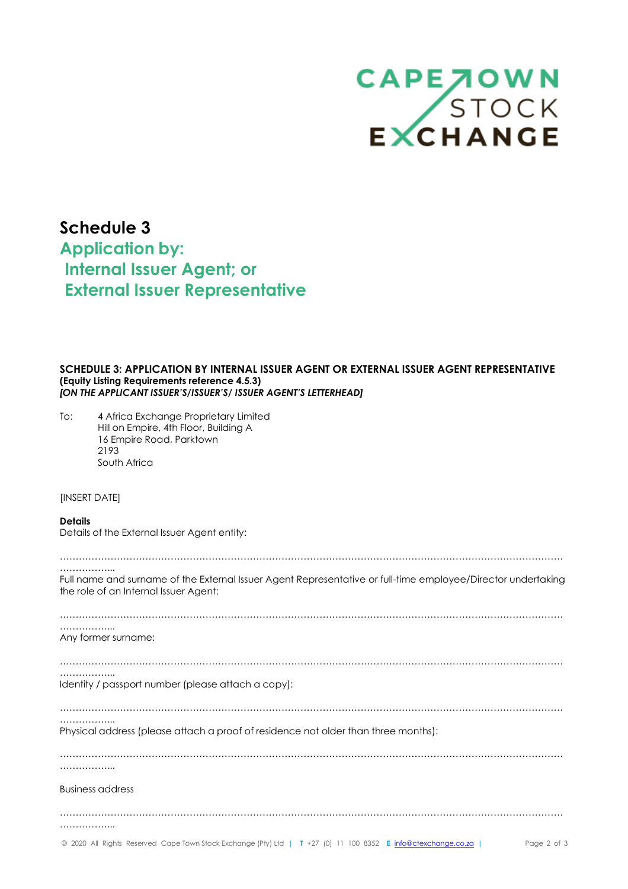

# **Schedule 3 Application by: Internal Issuer Agent; or External Issuer Representative**

## **SCHEDULE 3: APPLICATION BY INTERNAL ISSUER AGENT OR EXTERNAL ISSUER AGENT REPRESENTATIVE (Equity Listing Requirements reference 4.5.3)** *[ON THE APPLICANT ISSUER'S/ISSUER'S/ ISSUER AGENT'S LETTERHEAD]*

To: 4 Africa Exchange Proprietary Limited Hill on Empire, 4th Floor, Building A 16 Empire Road, Parktown 2193 South Africa

### [INSERT DATE]

#### **Details**

**4AX.co.za**

Details of the External Issuer Agent entity:

| .<br>Full name and surname of the External Issuer Agent Representative or full-time employee/Director undertaking<br>the role of an Internal Issuer Agent: |
|------------------------------------------------------------------------------------------------------------------------------------------------------------|
|                                                                                                                                                            |
| .<br>Any former surname:                                                                                                                                   |
|                                                                                                                                                            |
| Identity / passport number (please attach a copy):                                                                                                         |
|                                                                                                                                                            |
| Physical address (please attach a proof of residence not older than three months):                                                                         |
| .                                                                                                                                                          |
| <b>Business address</b>                                                                                                                                    |
|                                                                                                                                                            |
|                                                                                                                                                            |
| © 2020 All Rights Reserved Cape Town Stock Exchange (Pty) Ltd   T +27 (0) 11 100 8352 E info@ctexchange.co.za  <br>Page 2 of 3                             |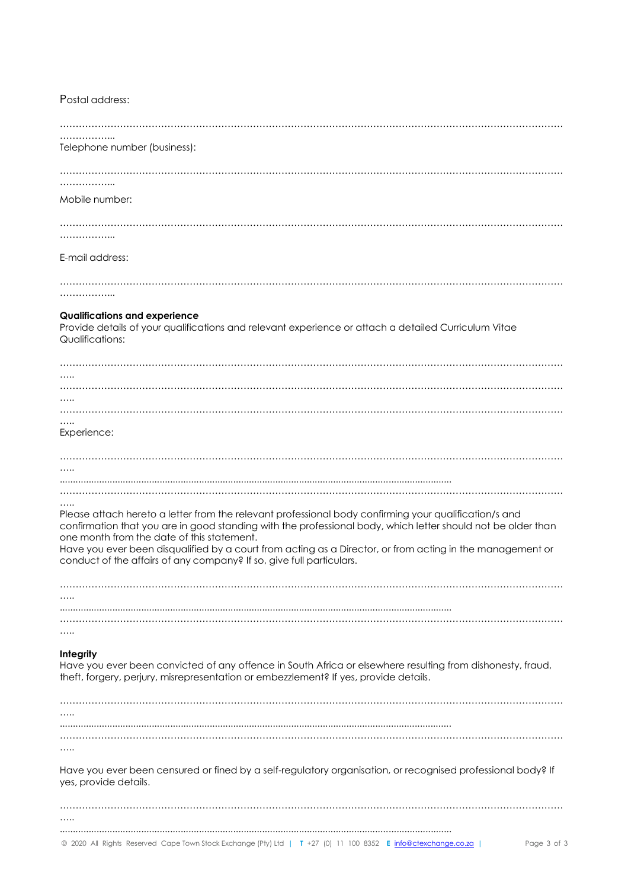| Telephone number (business):                                                                                                 |
|------------------------------------------------------------------------------------------------------------------------------|
|                                                                                                                              |
|                                                                                                                              |
|                                                                                                                              |
|                                                                                                                              |
| Mobile number:                                                                                                               |
|                                                                                                                              |
|                                                                                                                              |
|                                                                                                                              |
| .                                                                                                                            |
|                                                                                                                              |
| E-mail address:                                                                                                              |
|                                                                                                                              |
|                                                                                                                              |
|                                                                                                                              |
|                                                                                                                              |
|                                                                                                                              |
| <b>Qualifications and experience</b>                                                                                         |
| Provide details of your qualifications and relevant experience or attach a detailed Curriculum Vitae                         |
| Qualifications:                                                                                                              |
|                                                                                                                              |
|                                                                                                                              |
|                                                                                                                              |
|                                                                                                                              |
|                                                                                                                              |
|                                                                                                                              |
|                                                                                                                              |
|                                                                                                                              |
|                                                                                                                              |
| Experience:                                                                                                                  |
|                                                                                                                              |
|                                                                                                                              |
|                                                                                                                              |
|                                                                                                                              |
|                                                                                                                              |
|                                                                                                                              |
|                                                                                                                              |
| Please attach hereto a letter from the relevant professional body confirming your qualification/s and                        |
|                                                                                                                              |
| confirmation that you are in good standing with the professional body, which letter should not be older than                 |
| one month from the date of this statement.                                                                                   |
|                                                                                                                              |
| Have you ever been disqualified by a court from acting as a Director, or from acting in the management or                    |
| conduct of the affairs of any company? If so, give full particulars.                                                         |
|                                                                                                                              |
|                                                                                                                              |
|                                                                                                                              |
|                                                                                                                              |
|                                                                                                                              |
|                                                                                                                              |
|                                                                                                                              |
|                                                                                                                              |
| Integrity                                                                                                                    |
| Have you ever been convicted of any offence in South Africa or elsewhere resulting from dishonesty, fraud,                   |
| theft, forgery, perjury, misrepresentation or embezzlement? If yes, provide details.                                         |
|                                                                                                                              |
|                                                                                                                              |
|                                                                                                                              |
|                                                                                                                              |
|                                                                                                                              |
|                                                                                                                              |
| .                                                                                                                            |
|                                                                                                                              |
|                                                                                                                              |
| Have you ever been censured or fined by a self-regulatory organisation, or recognised professional body? If                  |
| yes, provide details.                                                                                                        |
|                                                                                                                              |
|                                                                                                                              |
|                                                                                                                              |
|                                                                                                                              |
| © 2020 All Rights Reserved Cape Town Stock Exchange (Pty) Ltd   T +27 (0) 11 100 8352 E info@ctexchange.co.za<br>Page 3 of 3 |